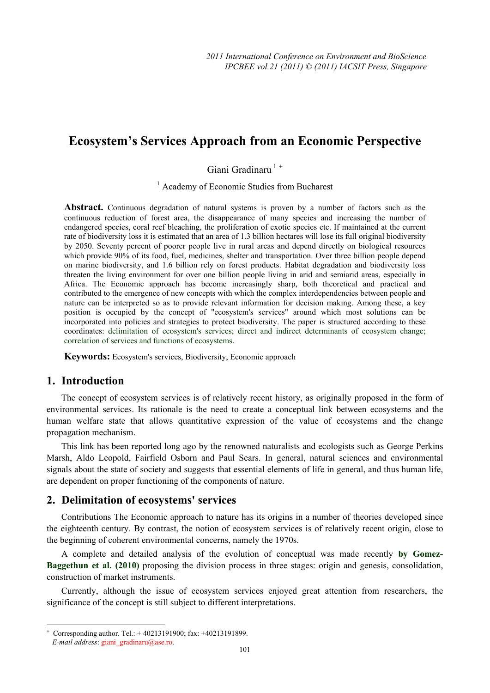# **Ecosystem's Services Approach from an Economic Perspective**

Giani Gradinaru<sup>1+</sup>

<sup>1</sup> Academy of Economic Studies from Bucharest

Abstract. Continuous degradation of natural systems is proven by a number of factors such as the continuous reduction of forest area, the disappearance of many species and increasing the number of endangered species, coral reef bleaching, the proliferation of exotic species etc. If maintained at the current rate of biodiversity loss it is estimated that an area of 1.3 billion hectares will lose its full original biodiversity by 2050. Seventy percent of poorer people live in rural areas and depend directly on biological resources which provide 90% of its food, fuel, medicines, shelter and transportation. Over three billion people depend on marine biodiversity, and 1.6 billion rely on forest products. Habitat degradation and biodiversity loss threaten the living environment for over one billion people living in arid and semiarid areas, especially in Africa. The Economic approach has become increasingly sharp, both theoretical and practical and contributed to the emergence of new concepts with which the complex interdependencies between people and nature can be interpreted so as to provide relevant information for decision making. Among these, a key position is occupied by the concept of "ecosystem's services" around which most solutions can be incorporated into policies and strategies to protect biodiversity. The paper is structured according to these coordinates: delimitation of ecosystem's services; direct and indirect determinants of ecosystem change; correlation of services and functions of ecosystems.

**Keywords:** Ecosystem's services, Biodiversity, Economic approach

#### **1. Introduction**

The concept of ecosystem services is of relatively recent history, as originally proposed in the form of environmental services. Its rationale is the need to create a conceptual link between ecosystems and the human welfare state that allows quantitative expression of the value of ecosystems and the change propagation mechanism.

This link has been reported long ago by the renowned naturalists and ecologists such as George Perkins Marsh, Aldo Leopold, Fairfield Osborn and Paul Sears. In general, natural sciences and environmental signals about the state of society and suggests that essential elements of life in general, and thus human life, are dependent on proper functioning of the components of nature.

## **2. Delimitation of ecosystems' services**

Contributions The Economic approach to nature has its origins in a number of theories developed since the eighteenth century. By contrast, the notion of ecosystem services is of relatively recent origin, close to the beginning of coherent environmental concerns, namely the 1970s.

A complete and detailed analysis of the evolution of conceptual was made recently **by Gomez-Baggethun et al. (2010)** proposing the division process in three stages: origin and genesis, consolidation, construction of market instruments.

Currently, although the issue of ecosystem services enjoyed great attention from researchers, the significance of the concept is still subject to different interpretations.

 $\overline{a}$ 

<sup>+</sup> Corresponding author. Tel.: + 40213191900; fax: +40213191899.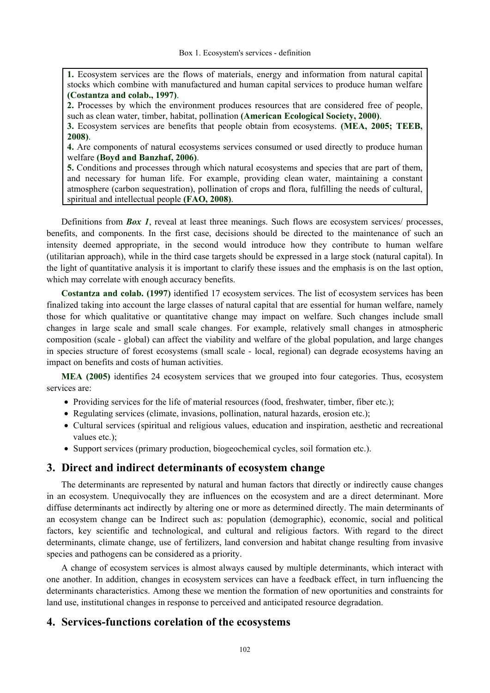**1.** Ecosystem services are the flows of materials, energy and information from natural capital stocks which combine with manufactured and human capital services to produce human welfare **(Costantza and colab., 1997)**.

**2.** Processes by which the environment produces resources that are considered free of people, such as clean water, timber, habitat, pollination **(American Ecological Society, 2000)**.

**3.** Ecosystem services are benefits that people obtain from ecosystems. **(MEA, 2005; TEEB, 2008)**.

**4.** Are components of natural ecosystems services consumed or used directly to produce human welfare **(Boyd and Banzhaf, 2006)**.

**5.** Conditions and processes through which natural ecosystems and species that are part of them, and necessary for human life. For example, providing clean water, maintaining a constant atmosphere (carbon sequestration), pollination of crops and flora, fulfilling the needs of cultural, spiritual and intellectual people **(FAO, 2008)**.

Definitions from *Box 1*, reveal at least three meanings. Such flows are ecosystem services/ processes, benefits, and components. In the first case, decisions should be directed to the maintenance of such an intensity deemed appropriate, in the second would introduce how they contribute to human welfare (utilitarian approach), while in the third case targets should be expressed in a large stock (natural capital). In the light of quantitative analysis it is important to clarify these issues and the emphasis is on the last option, which may correlate with enough accuracy benefits.

**Costantza and colab. (1997)** identified 17 ecosystem services. The list of ecosystem services has been finalized taking into account the large classes of natural capital that are essential for human welfare, namely those for which qualitative or quantitative change may impact on welfare. Such changes include small changes in large scale and small scale changes. For example, relatively small changes in atmospheric composition (scale - global) can affect the viability and welfare of the global population, and large changes in species structure of forest ecosystems (small scale - local, regional) can degrade ecosystems having an impact on benefits and costs of human activities.

**MEA (2005)** identifies 24 ecosystem services that we grouped into four categories. Thus, ecosystem services are:

- Providing services for the life of material resources (food, freshwater, timber, fiber etc.);
- Regulating services (climate, invasions, pollination, natural hazards, erosion etc.);
- Cultural services (spiritual and religious values, education and inspiration, aesthetic and recreational values etc.);
- Support services (primary production, biogeochemical cycles, soil formation etc.).

#### **3. Direct and indirect determinants of ecosystem change**

The determinants are represented by natural and human factors that directly or indirectly cause changes in an ecosystem. Unequivocally they are influences on the ecosystem and are a direct determinant. More diffuse determinants act indirectly by altering one or more as determined directly. The main determinants of an ecosystem change can be Indirect such as: population (demographic), economic, social and political factors, key scientific and technological, and cultural and religious factors. With regard to the direct determinants, climate change, use of fertilizers, land conversion and habitat change resulting from invasive species and pathogens can be considered as a priority.

A change of ecosystem services is almost always caused by multiple determinants, which interact with one another. In addition, changes in ecosystem services can have a feedback effect, in turn influencing the determinants characteristics. Among these we mention the formation of new oportunities and constraints for land use, institutional changes in response to perceived and anticipated resource degradation.

#### **4. Services-functions corelation of the ecosystems**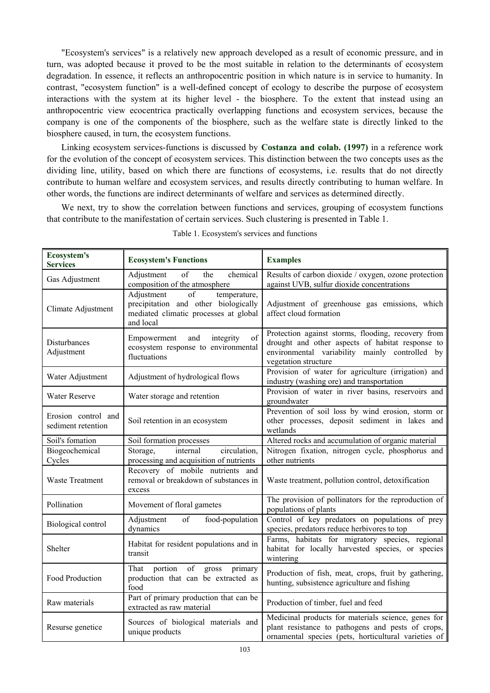"Ecosystem's services" is a relatively new approach developed as a result of economic pressure, and in turn, was adopted because it proved to be the most suitable in relation to the determinants of ecosystem degradation. In essence, it reflects an anthropocentric position in which nature is in service to humanity. In contrast, "ecosystem function" is a well-defined concept of ecology to describe the purpose of ecosystem interactions with the system at its higher level - the biosphere. To the extent that instead using an anthropocentric view ecocentrica practically overlapping functions and ecosystem services, because the company is one of the components of the biosphere, such as the welfare state is directly linked to the biosphere caused, in turn, the ecosystem functions.

Linking ecosystem services-functions is discussed by **Costanza and colab. (1997)** in a reference work for the evolution of the concept of ecosystem services. This distinction between the two concepts uses as the dividing line, utility, based on which there are functions of ecosystems, i.e. results that do not directly contribute to human welfare and ecosystem services, and results directly contributing to human welfare. In other words, the functions are indirect determinants of welfare and services as determined directly.

We next, try to show the correlation between functions and services, grouping of ecosystem functions that contribute to the manifestation of certain services. Such clustering is presented in Table 1.

| <b>Ecosystem's</b><br><b>Services</b>     | <b>Ecosystem's Functions</b>                                                                                                                | <b>Examples</b>                                                                                                                                                                  |  |
|-------------------------------------------|---------------------------------------------------------------------------------------------------------------------------------------------|----------------------------------------------------------------------------------------------------------------------------------------------------------------------------------|--|
| Gas Adjustment                            | $\overline{of}$<br>Adjustment<br>chemical<br>the<br>composition of the atmosphere                                                           | Results of carbon dioxide / oxygen, ozone protection<br>against UVB, sulfur dioxide concentrations                                                                               |  |
| Climate Adjustment                        | Adjustment<br>$\overline{of}$<br>temperature,<br>precipitation and other biologically<br>mediated climatic processes at global<br>and local | Adjustment of greenhouse gas emissions, which<br>affect cloud formation                                                                                                          |  |
| Disturbances<br>Adjustment                | and<br>Empowerment<br>integrity<br>of<br>ecosystem response to environmental<br>fluctuations                                                | Protection against storms, flooding, recovery from<br>drought and other aspects of habitat response to<br>environmental variability mainly controlled by<br>vegetation structure |  |
| Water Adjustment                          | Adjustment of hydrological flows                                                                                                            | Provision of water for agriculture (irrigation) and<br>industry (washing ore) and transportation                                                                                 |  |
| <b>Water Reserve</b>                      | Water storage and retention                                                                                                                 | Provision of water in river basins, reservoirs and<br>groundwater                                                                                                                |  |
| Erosion control and<br>sediment retention | Soil retention in an ecosystem                                                                                                              | Prevention of soil loss by wind erosion, storm or<br>other processes, deposit sediment in lakes and<br>wetlands                                                                  |  |
| Soil's fomation                           | Soil formation processes                                                                                                                    | Altered rocks and accumulation of organic material                                                                                                                               |  |
| Biogeochemical<br>Cycles                  | internal<br>circulation,<br>Storage,<br>processing and acquisition of nutrients                                                             | Nitrogen fixation, nitrogen cycle, phosphorus and<br>other nutrients                                                                                                             |  |
| Waste Treatment                           | Recovery of mobile nutrients and<br>removal or breakdown of substances in<br>excess                                                         | Waste treatment, pollution control, detoxification                                                                                                                               |  |
| Pollination                               | Movement of floral gametes                                                                                                                  | The provision of pollinators for the reproduction of<br>populations of plants                                                                                                    |  |
| Biological control                        | of<br>Adjustment<br>food-population<br>dynamics                                                                                             | Control of key predators on populations of prey<br>species, predators reduce herbivores to top                                                                                   |  |
| Shelter                                   | Habitat for resident populations and in<br>transit                                                                                          | Farms, habitats for migratory species, regional<br>habitat for locally harvested species, or species<br>wintering                                                                |  |
| Food Production                           | of<br>That<br>portion<br>gross<br>primary<br>production that can be extracted as<br>food                                                    | Production of fish, meat, crops, fruit by gathering,<br>hunting, subsistence agriculture and fishing                                                                             |  |
| Raw materials                             | Part of primary production that can be<br>extracted as raw material                                                                         | Production of timber, fuel and feed                                                                                                                                              |  |
| Resurse genetice                          | Sources of biological materials and<br>unique products                                                                                      | Medicinal products for materials science, genes for<br>plant resistance to pathogens and pests of crops,<br>ornamental species (pets, horticultural varieties of                 |  |

| Table 1. Ecosystem's services and functions |  |  |  |  |  |
|---------------------------------------------|--|--|--|--|--|
|---------------------------------------------|--|--|--|--|--|